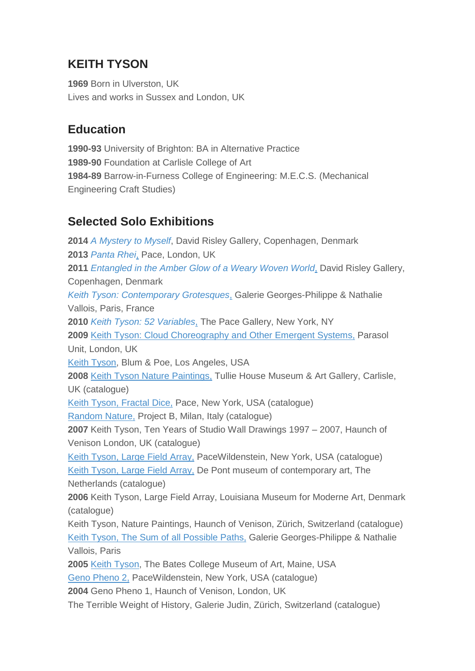# **KEITH TYSON**

**1969** Born in Ulverston, UK Lives and works in Sussex and London, UK

# **Education**

**1990-93** University of Brighton: BA in Alternative Practice **1989-90** Foundation at Carlisle College of Art **1984-89** Barrow-in-Furness College of Engineering: M.E.C.S. (Mechanical Engineering Craft Studies)

# **Selected Solo Exhibitions**

**2014** *A [Mystery](http://www.davidrisleygallery.com/exhibitions/keith-tyson2) to Myself*, David Risley Gallery, Copenhagen, Denmark **2013** *[Panta](http://www.pacegallery.com/london/exhibitions/12561/keith-tyson) Rhei*, Pace, London, UK **2011** *[Entangled](http://www.re-title.com/exhibitions/archive_davidrisleygallery12019.asp) in the Amber Glow of a Weary Woven World*, David Risley Gallery, Copenhagen, Denmark *Keith Tyson: [Contemporary](http://www.galerie-vallois.com/en/exhibitions/2011/keith-tyson.html) Grotesques*, Galerie Georges-Philippe & Nathalie Vallois, Paris, France **2010** *Keith Tyson: 52 [Variables](http://www.pacegallery.com/newyork/exhibitions/11236/keith-tyson-52-variables)*, The Pace Gallery, New York, NY **2009** Keith Tyson: Cloud [Choreography](http://parasol-unit.org/keith-tyson-cloud-choreography-and-other-emergent-systems) and Other Emergent Systems, Parasol Unit, London, UK Keith [Tyson,](http://www.blumandpoe.com/exhibitions/keith-tyson#images) Blum & Poe, Los Angeles, USA **2008** Keith Tyson Nature [Paintings,](http://www.tulliehouse.co.uk/thecollection/painting-nature-painting-keith-tyson-1969) Tullie House Museum & Art Gallery, Carlisle, UK (catalogue) Keith Tyson, [Fractal](http://www.pacegallery.com/newyork/exhibitions/11550/keith-tyson-fractal-dice) Dice, Pace, New York, USA (catalogue) [Random](http://www.projectb.eu/artist.asp?id=11) Nature, Project B, Milan, Italy (catalogue) **2007** Keith Tyson, Ten Years of Studio Wall Drawings 1997 – 2007, Haunch of Venison London, UK (catalogue) Keith [Tyson,](http://www.pacegallery.com/newyork/exhibitions/11688/keith-tyson-large-field-array) Large Field Array, PaceWildenstein, New York, USA (catalogue) Keith [Tyson,](http://www.depont.nl/nc/en/exhibitions/archive/release/startjaar/2005/pers/keith-tyson/) Large Field Array, De Pont museum of contemporary art, The Netherlands (catalogue) **2006** Keith Tyson, Large Field Array, Louisiana Museum for Moderne Art, Denmark (catalogue) Keith Tyson, Nature Paintings, Haunch of Venison, Zürich, Switzerland (catalogue) Keith Tyson, The Sum of all [Possible](http://www.galerie-vallois.com/en/exhibitions/2006/keith-tyson-the-sum-of-all-possible-paths.html) Paths, Galerie Georges-Philippe & Nathalie Vallois, Paris **2005** Keith [Tyson,](http://www.bates.edu/museum/exhibitions/past-exhibitions/y2006/keith-tyson/) The Bates College Museum of Art, Maine, USA Geno [Pheno](http://www.pacegallery.com/newyork/exhibitions/11858/keith-tyson-geno-pheno) 2, PaceWildenstein, New York, USA (catalogue) **2004** Geno Pheno 1, Haunch of Venison, London, UK

The Terrible Weight of History, Galerie Judin, Zürich, Switzerland (catalogue)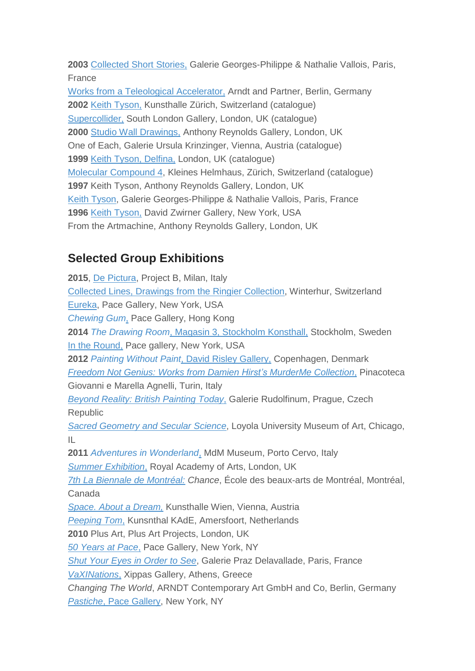**2003** [Collected](http://www.galerie-vallois.com/en/artists/keith-tyson.html++/image/tyson_collected_short_stories.jpg/) Short Stories, Galerie Georges-Philippe & Nathalie Vallois, Paris, **France** 

Works from a Teleological [Accelerator,](http://www.arndtberlin.com/website/page_12791) Arndt and Partner, Berlin, Germany **2002** Keith [Tyson,](http://kunsthallezurich.ch/en/keith-tyson) Kunsthalle Zürich, Switzerland (catalogue) [Supercollider,](http://www.southlondongallery.org/page/keith-tyson-supercollider) South London Gallery, London, UK (catalogue) **2000** Studio Wall [Drawings,](http://www.anthonyreynolds.com/past/00_tyson/pr.htm) Anthony Reynolds Gallery, London, UK One of Each, Galerie Ursula Krinzinger, Vienna, Austria (catalogue) **1999** Keith Tyson, [Delfina,](http://www.amazon.co.uk/Keith-Tyson-Jeremy-Millar/dp/0953526402) London, UK (catalogue) Molecular [Compound](http://books.google.co.uk/books/about/Molecular_Compound_4.html?id=IjwVAAAACAAJ&redir_esc=y) 4, Kleines Helmhaus, Zürich, Switzerland (catalogue) **1997** Keith Tyson, Anthony Reynolds Gallery, London, UK Keith [Tyson,](http://www.galerie-vallois.com/en/exhibitions/1997/keith-tyson-new-artmachine-paintings.html) Galerie Georges-Philippe & Nathalie Vallois, Paris, France **1996** Keith [Tyson,](http://www.davidzwirner.com/exhibition/keith-tyson/) David Zwirner Gallery, New York, USA From the Artmachine, Anthony Reynolds Gallery, London, UK

## **Selected Group Exhibitions**

**2015**, De [Pictura,](http://www.projectb.eu/exhibition.asp?id=42) Project B, Milan, Italy Collected Lines, Drawings from the Ringier [Collection,](http://moussemagazine.it/collecting-lines-villa-flora/) Winterhur, Switzerland [Eureka,](http://www.pacegallery.com/newyork/exhibitions/12746/eureka) Pace Gallery, New York, USA *[Chewing](http://www.pacegallery.com/hongkong/exhibitions/12745/chewing-gun) Gum*, Pace Gallery, Hong Kong **2014** *The Drawing Room*, Magasin 3, [Stockholm](https://www.magasin3.com/en/exhibition/the-drawing-room-2/) Konsthall, Stockholm, Sweden In the [Round,](http://www.pacegallery.com/newyork/exhibitions/12678/in-the-round) Pace gallery, New York, USA **2012** *[Painting](http://www.davidrisleygallery.com/exhibitions/painting-without-paint) Without Paint*, David Risley Gallery, Copenhagen, Denmark *Freedom Not Genius: Works from Damien Hirst's [MurderMe](http://pinacoteca-agnelli.it/visit/999/freedom-not-genius-2/) Collection*[,](http://pinacoteca-agnelli.it/visit/999/freedom-not-genius-2/) Pinacoteca Giovanni e Marella Agnelli, Turin, Italy *Beyond Reality: British [Painting](http://www.galerierudolfinum.cz/en/exhibition/beyond-reality-british-painting-today) Today*[,](http://www.galerierudolfinum.cz/en/exhibition/beyond-reality-british-painting-today) Galerie Rudolfinum, Prague, Czech Republic *Sacred [Geometry](http://www.luc.edu/luma/sacred_geometry_2012.html) and Secular Science*, Loyola University Museum of Art, Chicago, IL **2011** *Adventures in [Wonderland](http://www.mdmmuseum.it/exhibitions-2011_1/Adventures-in-Wonderland-dal-15-June-al-15-September_10.html)*, MdM Museum, Porto Cervo, Italy *Summer [Exhibition](http://www.telegraph.co.uk/culture/culturevideo/artvideo/8561421/The-Royal-Academys-Summer-Exhibition-2011-curator-interview.html)*[,](http://www.telegraph.co.uk/culture/culturevideo/artvideo/8561421/The-Royal-Academys-Summer-Exhibition-2011-curator-interview.html) Royal Academy of Arts, London, UK *7th La Biennale de [Montréal:](http://www.m-kos.net/archives/1204) Chance*, École des beaux-arts de Montréal, Montréal, Canada *Space. About a [Dream,](http://www.mqw.at/en/program/programmdetail/space-about-a-dream/?source=menu&cHash=5460fc5ff7f4d6145dd97e04ce684d81)* Kunsthalle Wien, Vienna, Austria *[Peeping](http://www.kunsthalkade.nl/tentoonstelling.php?item=1536) Tom*[,](http://www.kunsthalkade.nl/tentoonstelling.php?item=1536) Kunsnthal KAdE, Amersfoort, Netherlands **2010** Plus Art, Plus Art Projects, London, UK *50 [Years](http://www.pacegallery.com/newyork/exhibitions/11254/50-years-at-pace-art-in-the-twenty-first-century) at Pace*[,](http://www.pacegallery.com/newyork/exhibitions/11254/50-years-at-pace-art-in-the-twenty-first-century) Pace Gallery, New York, NY *Shut Your Eyes in [Order](http://www.praz-delavallade.com/exhibitions/past/2010/147.html) to See*, Galerie Praz Delavallade, Paris, France *[VaXINations](http://www.xippas.net/exhibition/vaxination/)*[,](http://www.xippas.net/exhibition/vaxination/) Xippas Gallery, Athens, Greece *Changing The World*, ARNDT Contemporary Art GmbH and Co, Berlin, Germany *[Pastiche](http://www.pacegallery.com/newyork/exhibitions/11303/pastiche)*, Pace [Gallery,](http://www.pacegallery.com/newyork/exhibitions/11303/pastiche) New York, NY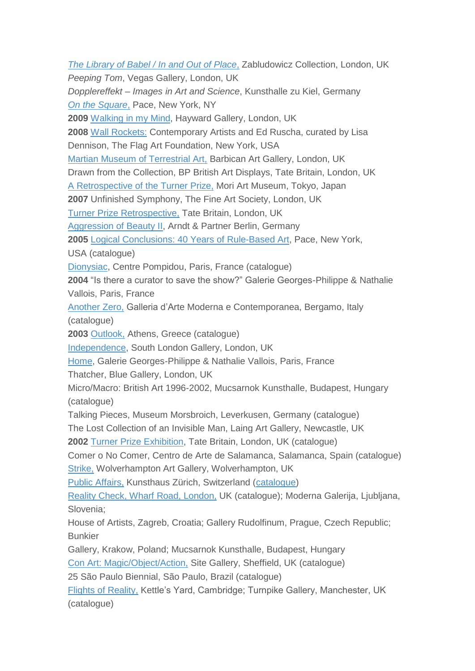*The [Library](http://www.zabludowiczcollection.com/exhibitions/view/the-library-of-babel-in-and-out-of-place) of Babel / In and Out of Place*[,](http://www.zabludowiczcollection.com/exhibitions/view/the-library-of-babel-in-and-out-of-place) Zabludowicz Collection, London, UK *Peeping Tom*, Vegas Gallery, London, UK *Dopplereffekt – Images in Art and Science*, Kunsthalle zu Kiel, Germany *On the [Square](http://www.pacegallery.com/newyork/exhibitions/11327/on-the-square)*[,](http://www.pacegallery.com/newyork/exhibitions/11327/on-the-square) Pace, New York, NY **2009** [Walking](http://walkinginmymind.southbankcentre.co.uk/index) in my Mind, Hayward Gallery, London, UK **2008** Wall [Rockets:](http://flagartfoundation.org/exhibitions/wall-rockets-contemporary-artists-and-ed-ruscha/) Contemporary Artists and Ed Ruscha, curated by Lisa Dennison, The Flag Art Foundation, New York, USA Martian Museum of [Terrestrial](http://www.barbican.org.uk/artgallery/event-detail.asp?ID=7038) Art, Barbican Art Gallery, London, UK Drawn from the Collection, BP British Art Displays, Tate Britain, London, UK A [Retrospective](http://www.mori.art.museum/english/contents/history/exhibition/index.html) of the Turner Prize, Mori Art Museum, Tokyo, Japan **2007** Unfinished Symphony, The Fine Art Society, London, UK Turner Prize [Retrospective,](http://www.tate.org.uk/whats-on/exhibition/turner-prize-retrospective) Tate Britain, London, UK [Aggression](http://www.arndtberlin.com/website/page_13572?idx=t) of Beauty II, Arndt & Partner Berlin, Germany **2005** Logical [Conclusions:](http://www.pacegallery.com/newyork/exhibitions/11894/logical-conclusions-40-years-of-rule-based-art) 40 Years of Rule-Based Art, Pace, New York, USA (catalogue) [Dionysiac,](https://www.centrepompidou.fr/cpv/resource/c8BAgx/rMyXz4) Centre Pompidou, Paris, France (catalogue) **2004** "Is there a curator to save the show?" Galerie Georges-Philippe & Nathalie Vallois, Paris, France [Another](http://www.gamec.it/en/exhib/another-zero) Zero, Galleria d"Arte Moderna e Contemporanea, Bergamo, Italy (catalogue) **2003** [Outlook,](http://www.aaa.org.hk/WorldEvents/Details/856) Athens, Greece (catalogue) [Independence,](http://www.southlondongallery.org/page/144/Independence/133) South London Gallery, London, UK [Home,](http://www.galerie-vallois.com/en/exhibitions/2003/home.html) Galerie Georges-Philippe & Nathalie Vallois, Paris, France Thatcher, Blue Gallery, London, UK Micro/Macro: British Art 1996-2002, Mucsarnok Kunsthalle, Budapest, Hungary (catalogue) Talking Pieces, Museum Morsbroich, Leverkusen, Germany (catalogue) The Lost Collection of an Invisible Man, Laing Art Gallery, Newcastle, UK **2002** Turner Prize [Exhibition,](http://www.tate.org.uk/whats-on/tate-britain/exhibition/turner-prize-2002) Tate Britain, London, UK (catalogue) Comer o No Comer, Centro de Arte de Salamanca, Salamanca, Spain (catalogue) [Strike,](http://www.theguardian.com/artanddesign/2002/oct/08/art.artsfeatures) Wolverhampton Art Gallery, Wolverhampton, UK Public [Affairs,](http://www.kunsthaus.ch/en/exhibitions/review/2000-2009/2002/?redirect_url=title%3DM%D0%A0%C2%A0%D0%B2%D0%82%D1%9A%D0%A0%E2%80%99%D0%92%C2%A9thodolog) Kunsthaus Zürich, Switzerland [\(catalogue\)](http://www.kunsthaus.ch/en/shop-offers/products/?tx_ttproducts_pi1%5Bcat%5D=1&tx_ttproducts_pi1%5Bbegin_at%5D=50&tx_ttproducts_pi1%5BbackPID%5D=951&tx_ttproducts_pi1%5Bproduct%5D=71&cHash=8d2a3b9220e98cc71d796262954e41a3) Reality Check, Wharf Road, [London,](http://www.photography-now.com/exhibition/500) UK (catalogue); Moderna Galerija, Ljubljana, Slovenia; House of Artists, Zagreb, Croatia; Gallery Rudolfinum, Prague, Czech Republic; Bunkier Gallery, Krakow, Poland; Mucsarnok Kunsthalle, Budapest, Hungary Con Art: [Magic/Object/Action,](http://www.sitegallery.org/archives/1273) Site Gallery, Sheffield, UK (catalogue) 25 São Paulo Biennial, São Paulo, Brazil (catalogue) Flights of [Reality,](http://www.kettlesyard.co.uk/events/flights-of-reality/) Kettle"s Yard, Cambridge; Turnpike Gallery, Manchester, UK (catalogue)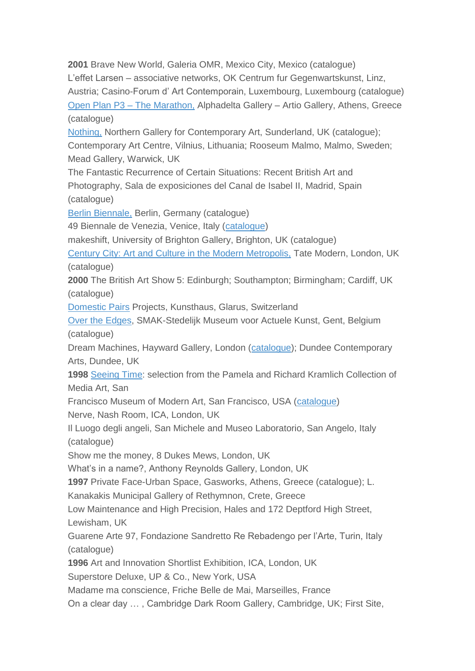**2001** Brave New World, Galeria OMR, Mexico City, Mexico (catalogue) L"effet Larsen – associative networks, OK Centrum fur Gegenwartskunst, Linz, Austria; Casino-Forum d" Art Contemporain, Luxembourg, Luxembourg (catalogue) Open Plan P3 – The [Marathon,](http://www.artmag.com/galeries/c_grece/alphadelta/open.html) Alphadelta Gallery – Artio Gallery, Athens, Greece (catalogue) [Nothing,](http://www.amazon.co.uk/Nothing-Graham-Gussin/dp/1902854098) Northern Gallery for Contemporary Art, Sunderland, UK (catalogue); Contemporary Art Centre, Vilnius, Lithuania; Rooseum Malmo, Malmo, Sweden; Mead Gallery, Warwick, UK The Fantastic Recurrence of Certain Situations: Recent British Art and Photography, Sala de exposiciones del Canal de Isabel II, Madrid, Spain (catalogue) Berlin [Biennale,](http://bb6.berlinbiennale.de/index.php?option=com_content&task=blogcategory&id=41&Itemid=81&lang=en) Berlin, Germany (catalogue) 49 Biennale de Venezia, Venice, Italy [\(catalogue\)](http://www.amazon.co.uk/gp/search?index=books&linkCode=qs&keywords=9788843595273) makeshift, University of Brighton Gallery, Brighton, UK (catalogue) Century City: Art and Culture in the Modern [Metropolis,](http://www.tate.org.uk/whats-on/tate-modern/exhibition/century-city) Tate Modern, London, UK (catalogue) **2000** The British Art Show 5: Edinburgh; Southampton; Birmingham; Cardiff, UK (catalogue) [Domestic](http://keithtyson.com/work/artmachine-iteration-domestic-pairs-project-with-urs-fischer-free-standing-mirrors-1-of-6/) Pairs Projects, Kunsthaus, Glarus, Switzerland Over the [Edges,](http://www.smak.be/tentoonstelling.php?la=nl&y=&tid=&t=&id=69) SMAK-Stedelijk Museum voor Actuele Kunst, Gent, Belgium (catalogue) Dream Machines, Hayward Gallery, London [\(catalogue\)](http://www.amazon.co.uk/Dream-Machines-Susan-Hiller/dp/1853322024); Dundee Contemporary Arts, Dundee, UK **1998** [Seeing](http://www.sfmoma.org/exhib_events/exhibitions/491) Time: selection from the Pamela and Richard Kramlich Collection of Media Art, San Francisco Museum of Modern Art, San Francisco, USA [\(catalogue\)](http://zkm.de/en/publication/seeing-time-selection-from-the-pamela-and-richard-kramlich-collection-of-media-art) Nerve, Nash Room, ICA, London, UK Il Luogo degli angeli, San Michele and Museo Laboratorio, San Angelo, Italy (catalogue) Show me the money, 8 Dukes Mews, London, UK What"s in a name?, Anthony Reynolds Gallery, London, UK **1997** Private Face-Urban Space, Gasworks, Athens, Greece (catalogue); L. Kanakakis Municipal Gallery of Rethymnon, Crete, Greece Low Maintenance and High Precision, Hales and 172 Deptford High Street, Lewisham, UK Guarene Arte 97, Fondazione Sandretto Re Rebadengo per l"Arte, Turin, Italy (catalogue) **1996** Art and Innovation Shortlist Exhibition, ICA, London, UK Superstore Deluxe, UP & Co., New York, USA Madame ma conscience, Friche Belle de Mai, Marseilles, France On a clear day … , Cambridge Dark Room Gallery, Cambridge, UK; First Site,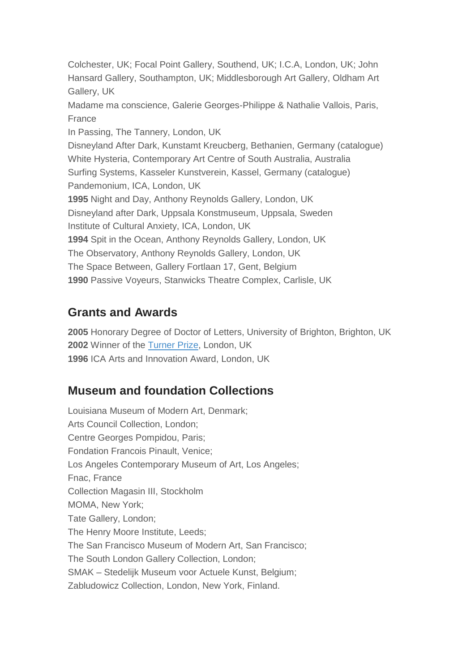Colchester, UK; Focal Point Gallery, Southend, UK; I.C.A, London, UK; John Hansard Gallery, Southampton, UK; Middlesborough Art Gallery, Oldham Art Gallery, UK Madame ma conscience, Galerie Georges-Philippe & Nathalie Vallois, Paris, France In Passing, The Tannery, London, UK Disneyland After Dark, Kunstamt Kreucberg, Bethanien, Germany (catalogue) White Hysteria, Contemporary Art Centre of South Australia, Australia Surfing Systems, Kasseler Kunstverein, Kassel, Germany (catalogue) Pandemonium, ICA, London, UK **1995** Night and Day, Anthony Reynolds Gallery, London, UK Disneyland after Dark, Uppsala Konstmuseum, Uppsala, Sweden Institute of Cultural Anxiety, ICA, London, UK **1994** Spit in the Ocean, Anthony Reynolds Gallery, London, UK The Observatory, Anthony Reynolds Gallery, London, UK The Space Between, Gallery Fortlaan 17, Gent, Belgium **1990** Passive Voyeurs, Stanwicks Theatre Complex, Carlisle, UK

## **Grants and Awards**

**2005** Honorary Degree of Doctor of Letters, University of Brighton, Brighton, UK **2002** Winner of the [Turner](http://www.tate.org.uk/whats-on/tate-britain/exhibition/turner-prize-2002) Prize, London, UK **1996** ICA Arts and Innovation Award, London, UK

## **Museum and foundation Collections**

Louisiana Museum of Modern Art, Denmark; Arts Council Collection, London; Centre Georges Pompidou, Paris; Fondation Francois Pinault, Venice; Los Angeles Contemporary Museum of Art, Los Angeles; Fnac, France Collection Magasin III, Stockholm MOMA, New York; Tate Gallery, London; The Henry Moore Institute, Leeds; The San Francisco Museum of Modern Art, San Francisco; The South London Gallery Collection, London; SMAK – Stedelijk Museum voor Actuele Kunst, Belgium; Zabludowicz Collection, London, New York, Finland.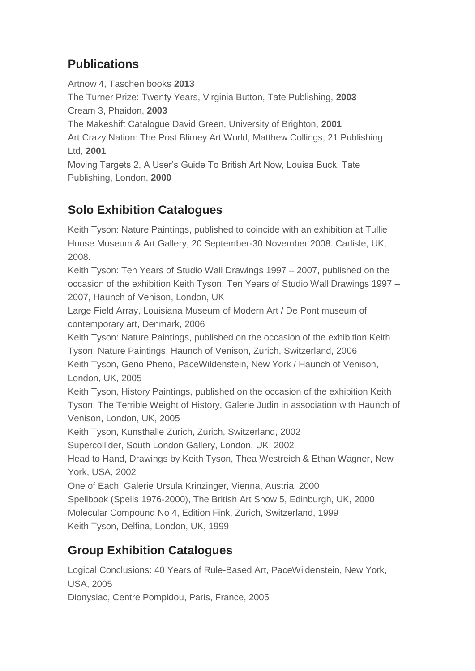# **Publications**

Artnow 4, Taschen books **2013** The Turner Prize: Twenty Years, Virginia Button, Tate Publishing, **2003** Cream 3, Phaidon, **2003** The Makeshift Catalogue David Green, University of Brighton, **2001** Art Crazy Nation: The Post Blimey Art World, Matthew Collings, 21 Publishing Ltd, **2001** Moving Targets 2, A User"s Guide To British Art Now, Louisa Buck, Tate Publishing, London, **2000**

# **Solo Exhibition Catalogues**

Keith Tyson: Nature Paintings, published to coincide with an exhibition at Tullie House Museum & Art Gallery, 20 September-30 November 2008. Carlisle, UK, 2008.

Keith Tyson: Ten Years of Studio Wall Drawings 1997 – 2007, published on the occasion of the exhibition Keith Tyson: Ten Years of Studio Wall Drawings 1997 – 2007, Haunch of Venison, London, UK

Large Field Array, Louisiana Museum of Modern Art / De Pont museum of contemporary art, Denmark, 2006

Keith Tyson: Nature Paintings, published on the occasion of the exhibition Keith Tyson: Nature Paintings, Haunch of Venison, Zürich, Switzerland, 2006 Keith Tyson, Geno Pheno, PaceWildenstein, New York / Haunch of Venison, London, UK, 2005

Keith Tyson, History Paintings, published on the occasion of the exhibition Keith Tyson; The Terrible Weight of History, Galerie Judin in association with Haunch of Venison, London, UK, 2005

Keith Tyson, Kunsthalle Zürich, Zürich, Switzerland, 2002

Supercollider, South London Gallery, London, UK, 2002

Head to Hand, Drawings by Keith Tyson, Thea Westreich & Ethan Wagner, New York, USA, 2002

One of Each, Galerie Ursula Krinzinger, Vienna, Austria, 2000

Spellbook (Spells 1976-2000), The British Art Show 5, Edinburgh, UK, 2000 Molecular Compound No 4, Edition Fink, Zürich, Switzerland, 1999 Keith Tyson, Delfina, London, UK, 1999

# **Group Exhibition Catalogues**

Logical Conclusions: 40 Years of Rule-Based Art, PaceWildenstein, New York, USA, 2005

Dionysiac, Centre Pompidou, Paris, France, 2005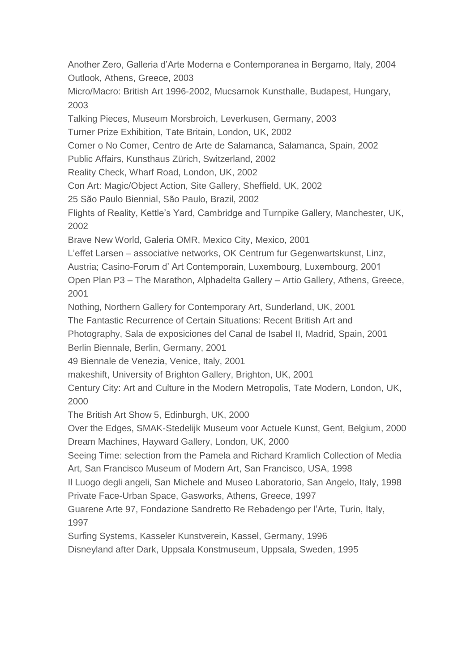Another Zero, Galleria d"Arte Moderna e Contemporanea in Bergamo, Italy, 2004 Outlook, Athens, Greece, 2003

Micro/Macro: British Art 1996-2002, Mucsarnok Kunsthalle, Budapest, Hungary, 2003

Talking Pieces, Museum Morsbroich, Leverkusen, Germany, 2003

Turner Prize Exhibition, Tate Britain, London, UK, 2002

Comer o No Comer, Centro de Arte de Salamanca, Salamanca, Spain, 2002

Public Affairs, Kunsthaus Zürich, Switzerland, 2002

Reality Check, Wharf Road, London, UK, 2002

Con Art: Magic/Object Action, Site Gallery, Sheffield, UK, 2002

25 São Paulo Biennial, São Paulo, Brazil, 2002

Flights of Reality, Kettle"s Yard, Cambridge and Turnpike Gallery, Manchester, UK, 2002

Brave New World, Galeria OMR, Mexico City, Mexico, 2001

L"effet Larsen – associative networks, OK Centrum fur Gegenwartskunst, Linz,

Austria; Casino-Forum d" Art Contemporain, Luxembourg, Luxembourg, 2001

Open Plan P3 – The Marathon, Alphadelta Gallery – Artio Gallery, Athens, Greece, 2001

Nothing, Northern Gallery for Contemporary Art, Sunderland, UK, 2001

The Fantastic Recurrence of Certain Situations: Recent British Art and

Photography, Sala de exposiciones del Canal de Isabel II, Madrid, Spain, 2001

Berlin Biennale, Berlin, Germany, 2001

49 Biennale de Venezia, Venice, Italy, 2001

makeshift, University of Brighton Gallery, Brighton, UK, 2001

Century City: Art and Culture in the Modern Metropolis, Tate Modern, London, UK, 2000

The British Art Show 5, Edinburgh, UK, 2000

Over the Edges, SMAK-Stedelijk Museum voor Actuele Kunst, Gent, Belgium, 2000 Dream Machines, Hayward Gallery, London, UK, 2000

Seeing Time: selection from the Pamela and Richard Kramlich Collection of Media Art, San Francisco Museum of Modern Art, San Francisco, USA, 1998

Il Luogo degli angeli, San Michele and Museo Laboratorio, San Angelo, Italy, 1998 Private Face-Urban Space, Gasworks, Athens, Greece, 1997

Guarene Arte 97, Fondazione Sandretto Re Rebadengo per l"Arte, Turin, Italy, 1997

Surfing Systems, Kasseler Kunstverein, Kassel, Germany, 1996

Disneyland after Dark, Uppsala Konstmuseum, Uppsala, Sweden, 1995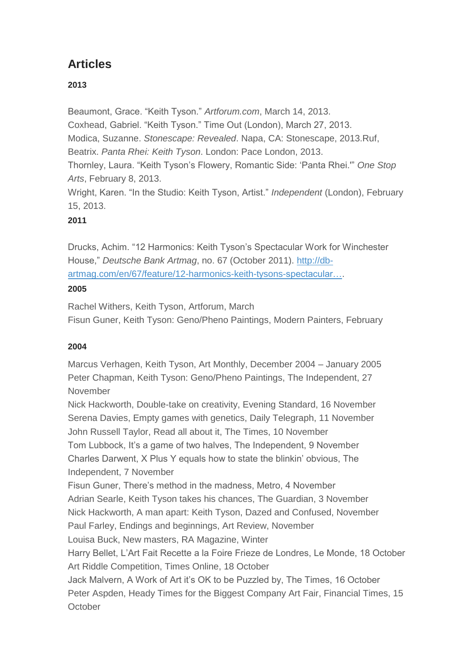# **Articles**

## **2013**

Beaumont, Grace. "Keith Tyson." *Artforum.com*, March 14, 2013. Coxhead, Gabriel. "Keith Tyson." Time Out (London), March 27, 2013. Modica, Suzanne. *Stonescape: Revealed*. Napa, CA: Stonescape, 2013.Ruf, Beatrix. *Panta Rhei: Keith Tyson*. London: Pace London, 2013. Thornley, Laura. "Keith Tyson"s Flowery, Romantic Side: "Panta Rhei.'" *One Stop Arts*, February 8, 2013. Wright, Karen. "In the Studio: Keith Tyson, Artist." *Independent* (London), February 15, 2013.

### **2011**

Drucks, Achim. "12 Harmonics: Keith Tyson"s Spectacular Work for Winchester House," *Deutsche Bank Artmag*, no. 67 (October 2011). [http://db](http://db-artmag.com/en/67/feature/12-harmonics-keith-tysons-spectacular-work-for-winchester-house/)[artmag.com/en/67/feature/12-harmonics-keith-tysons-spectacular….](http://db-artmag.com/en/67/feature/12-harmonics-keith-tysons-spectacular-work-for-winchester-house/)

### **2005**

Rachel Withers, Keith Tyson, Artforum, March Fisun Guner, Keith Tyson: Geno/Pheno Paintings, Modern Painters, February

### **2004**

Marcus Verhagen, Keith Tyson, Art Monthly, December 2004 – January 2005 Peter Chapman, Keith Tyson: Geno/Pheno Paintings, The Independent, 27 November

Nick Hackworth, Double-take on creativity, Evening Standard, 16 November Serena Davies, Empty games with genetics, Daily Telegraph, 11 November John Russell Taylor, Read all about it, The Times, 10 November Tom Lubbock, It's a game of two halves, The Independent, 9 November Charles Darwent, X Plus Y equals how to state the blinkin" obvious, The Independent, 7 November Fisun Guner, There"s method in the madness, Metro, 4 November Adrian Searle, Keith Tyson takes his chances, The Guardian, 3 November Nick Hackworth, A man apart: Keith Tyson, Dazed and Confused, November Paul Farley, Endings and beginnings, Art Review, November Louisa Buck, New masters, RA Magazine, Winter Harry Bellet, L"Art Fait Recette a la Foire Frieze de Londres, Le Monde, 18 October Art Riddle Competition, Times Online, 18 October Jack Malvern, A Work of Art it's OK to be Puzzled by, The Times, 16 October Peter Aspden, Heady Times for the Biggest Company Art Fair, Financial Times, 15 **October**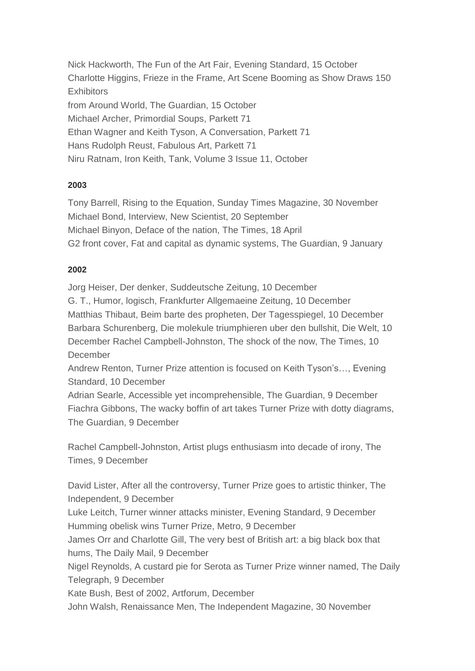Nick Hackworth, The Fun of the Art Fair, Evening Standard, 15 October Charlotte Higgins, Frieze in the Frame, Art Scene Booming as Show Draws 150 **Exhibitors** from Around World, The Guardian, 15 October Michael Archer, Primordial Soups, Parkett 71 Ethan Wagner and Keith Tyson, A Conversation, Parkett 71 Hans Rudolph Reust, Fabulous Art, Parkett 71 Niru Ratnam, Iron Keith, Tank, Volume 3 Issue 11, October

#### **2003**

Tony Barrell, Rising to the Equation, Sunday Times Magazine, 30 November Michael Bond, Interview, New Scientist, 20 September Michael Binyon, Deface of the nation, The Times, 18 April G2 front cover, Fat and capital as dynamic systems, The Guardian, 9 January

#### **2002**

Jorg Heiser, Der denker, Suddeutsche Zeitung, 10 December G. T., Humor, logisch, Frankfurter Allgemaeine Zeitung, 10 December Matthias Thibaut, Beim barte des propheten, Der Tagesspiegel, 10 December Barbara Schurenberg, Die molekule triumphieren uber den bullshit, Die Welt, 10 December Rachel Campbell-Johnston, The shock of the now, The Times, 10 **December** 

Andrew Renton, Turner Prize attention is focused on Keith Tyson's..., Evening Standard, 10 December

Adrian Searle, Accessible yet incomprehensible, The Guardian, 9 December Fiachra Gibbons, The wacky boffin of art takes Turner Prize with dotty diagrams, The Guardian, 9 December

Rachel Campbell-Johnston, Artist plugs enthusiasm into decade of irony, The Times, 9 December

David Lister, After all the controversy, Turner Prize goes to artistic thinker, The Independent, 9 December

Luke Leitch, Turner winner attacks minister, Evening Standard, 9 December Humming obelisk wins Turner Prize, Metro, 9 December

James Orr and Charlotte Gill, The very best of British art: a big black box that hums, The Daily Mail, 9 December

Nigel Reynolds, A custard pie for Serota as Turner Prize winner named, The Daily Telegraph, 9 December

Kate Bush, Best of 2002, Artforum, December

John Walsh, Renaissance Men, The Independent Magazine, 30 November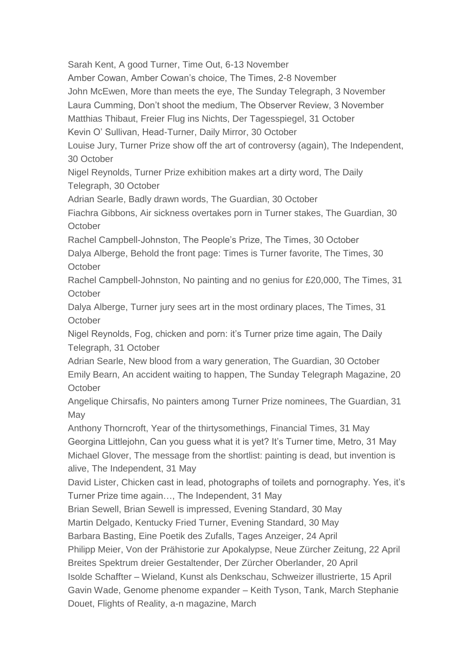Sarah Kent, A good Turner, Time Out, 6-13 November Amber Cowan, Amber Cowan"s choice, The Times, 2-8 November John McEwen, More than meets the eye, The Sunday Telegraph, 3 November Laura Cumming, Don"t shoot the medium, The Observer Review, 3 November Matthias Thibaut, Freier Flug ins Nichts, Der Tagesspiegel, 31 October Kevin O" Sullivan, Head-Turner, Daily Mirror, 30 October Louise Jury, Turner Prize show off the art of controversy (again), The Independent, 30 October Nigel Reynolds, Turner Prize exhibition makes art a dirty word, The Daily Telegraph, 30 October Adrian Searle, Badly drawn words, The Guardian, 30 October Fiachra Gibbons, Air sickness overtakes porn in Turner stakes, The Guardian, 30 **October** Rachel Campbell-Johnston, The People"s Prize, The Times, 30 October Dalya Alberge, Behold the front page: Times is Turner favorite, The Times, 30 **October** Rachel Campbell-Johnston, No painting and no genius for £20,000, The Times, 31 **October** Dalya Alberge, Turner jury sees art in the most ordinary places, The Times, 31 **October** Nigel Reynolds, Fog, chicken and porn: it's Turner prize time again, The Daily Telegraph, 31 October Adrian Searle, New blood from a wary generation, The Guardian, 30 October Emily Bearn, An accident waiting to happen, The Sunday Telegraph Magazine, 20 **October** Angelique Chirsafis, No painters among Turner Prize nominees, The Guardian, 31 May Anthony Thorncroft, Year of the thirtysomethings, Financial Times, 31 May Georgina Littlejohn, Can you guess what it is yet? It"s Turner time, Metro, 31 May Michael Glover, The message from the shortlist: painting is dead, but invention is alive, The Independent, 31 May David Lister, Chicken cast in lead, photographs of toilets and pornography. Yes, it"s Turner Prize time again…, The Independent, 31 May Brian Sewell, Brian Sewell is impressed, Evening Standard, 30 May Martin Delgado, Kentucky Fried Turner, Evening Standard, 30 May Barbara Basting, Eine Poetik des Zufalls, Tages Anzeiger, 24 April Philipp Meier, Von der Prähistorie zur Apokalypse, Neue Zürcher Zeitung, 22 April Breites Spektrum dreier Gestaltender, Der Zürcher Oberlander, 20 April Isolde Schaffter – Wieland, Kunst als Denkschau, Schweizer illustrierte, 15 April Gavin Wade, Genome phenome expander – Keith Tyson, Tank, March Stephanie Douet, Flights of Reality, a-n magazine, March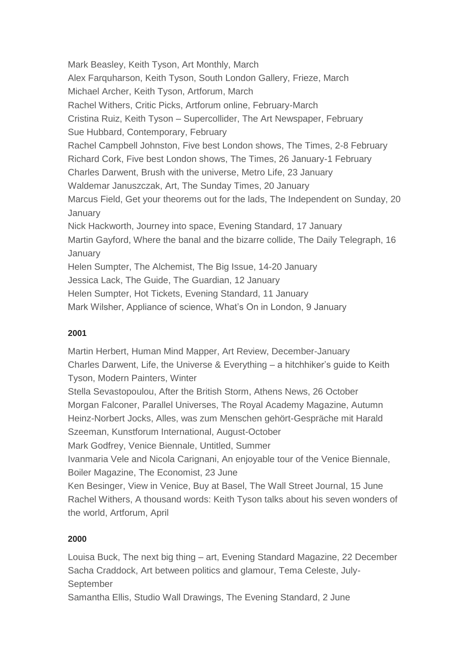Mark Beasley, Keith Tyson, Art Monthly, March Alex Farquharson, Keith Tyson, South London Gallery, Frieze, March Michael Archer, Keith Tyson, Artforum, March Rachel Withers, Critic Picks, Artforum online, February-March Cristina Ruiz, Keith Tyson – Supercollider, The Art Newspaper, February Sue Hubbard, Contemporary, February Rachel Campbell Johnston, Five best London shows, The Times, 2-8 February Richard Cork, Five best London shows, The Times, 26 January-1 February Charles Darwent, Brush with the universe, Metro Life, 23 January Waldemar Januszczak, Art, The Sunday Times, 20 January Marcus Field, Get your theorems out for the lads, The Independent on Sunday, 20 January Nick Hackworth, Journey into space, Evening Standard, 17 January Martin Gayford, Where the banal and the bizarre collide, The Daily Telegraph, 16 **January** Helen Sumpter, The Alchemist, The Big Issue, 14-20 January Jessica Lack, The Guide, The Guardian, 12 January Helen Sumpter, Hot Tickets, Evening Standard, 11 January Mark Wilsher, Appliance of science, What"s On in London, 9 January

### **2001**

Martin Herbert, Human Mind Mapper, Art Review, December-January Charles Darwent, Life, the Universe & Everything – a hitchhiker"s guide to Keith Tyson, Modern Painters, Winter Stella Sevastopoulou, After the British Storm, Athens News, 26 October Morgan Falconer, Parallel Universes, The Royal Academy Magazine, Autumn Heinz-Norbert Jocks, Alles, was zum Menschen gehört-Gespräche mit Harald Szeeman, Kunstforum International, August-October Mark Godfrey, Venice Biennale, Untitled, Summer Ivanmaria Vele and Nicola Carignani, An enjoyable tour of the Venice Biennale, Boiler Magazine, The Economist, 23 June Ken Besinger, View in Venice, Buy at Basel, The Wall Street Journal, 15 June Rachel Withers, A thousand words: Keith Tyson talks about his seven wonders of the world, Artforum, April

### **2000**

Louisa Buck, The next big thing – art, Evening Standard Magazine, 22 December Sacha Craddock, Art between politics and glamour, Tema Celeste, July-September

Samantha Ellis, Studio Wall Drawings, The Evening Standard, 2 June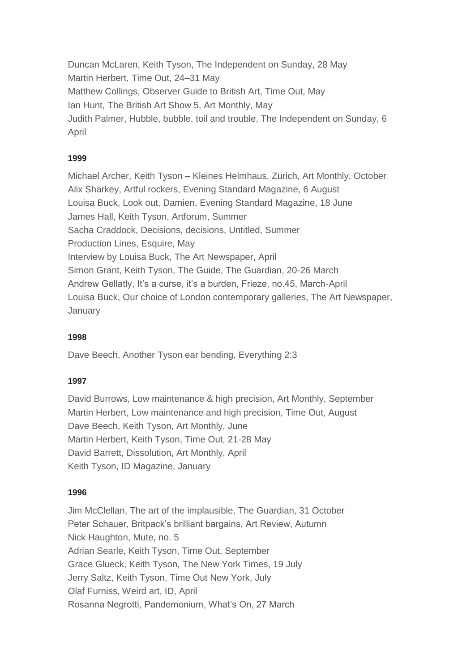Duncan McLaren, Keith Tyson, The Independent on Sunday, 28 May Martin Herbert, Time Out, 24–31 May Matthew Collings, Observer Guide to British Art, Time Out, May Ian Hunt, The British Art Show 5, Art Monthly, May Judith Palmer, Hubble, bubble, toil and trouble, The Independent on Sunday, 6 April

#### **1999**

Michael Archer, Keith Tyson – Kleines Helmhaus, Zürich, Art Monthly, October Alix Sharkey, Artful rockers, Evening Standard Magazine, 6 August Louisa Buck, Look out, Damien, Evening Standard Magazine, 18 June James Hall, Keith Tyson, Artforum, Summer Sacha Craddock, Decisions, decisions, Untitled, Summer Production Lines, Esquire, May Interview by Louisa Buck, The Art Newspaper, April Simon Grant, Keith Tyson, The Guide, The Guardian, 20-26 March Andrew Gellatly, It's a curse, it's a burden, Frieze, no.45, March-April Louisa Buck, Our choice of London contemporary galleries, The Art Newspaper, January

### **1998**

Dave Beech, Another Tyson ear bending, Everything 2:3

#### **1997**

David Burrows, Low maintenance & high precision, Art Monthly, September Martin Herbert, Low maintenance and high precision, Time Out, August Dave Beech, Keith Tyson, Art Monthly, June Martin Herbert, Keith Tyson, Time Out, 21-28 May David Barrett, Dissolution, Art Monthly, April Keith Tyson, ID Magazine, January

#### **1996**

Jim McClellan, The art of the implausible, The Guardian, 31 October Peter Schauer, Britpack"s brilliant bargains, Art Review, Autumn Nick Haughton, Mute, no. 5 Adrian Searle, Keith Tyson, Time Out, September Grace Glueck, Keith Tyson, The New York Times, 19 July Jerry Saltz, Keith Tyson, Time Out New York, July Olaf Furniss, Weird art, ID, April Rosanna Negrotti, Pandemonium, What"s On, 27 March